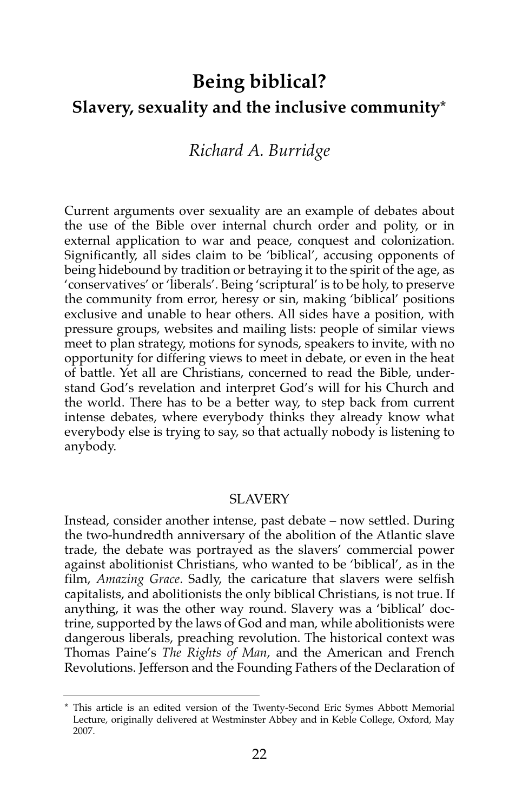# **Being biblical? Slavery, sexuality and the inclusive community\***

## *Richard A. Burridge*

Current arguments over sexuality are an example of debates about the use of the Bible over internal church order and polity, or in external application to war and peace, conquest and colonization. Significantly, all sides claim to be 'biblical', accusing opponents of being hidebound by tradition or betraying it to the spirit of the age, as 'conservatives' or 'liberals'. Being 'scriptural' is to be holy, to preserve the community from error, heresy or sin, making 'biblical' positions exclusive and unable to hear others. All sides have a position, with pressure groups, websites and mailing lists: people of similar views meet to plan strategy, motions for synods, speakers to invite, with no opportunity for differing views to meet in debate, or even in the heat of battle. Yet all are Christians, concerned to read the Bible, understand God's revelation and interpret God's will for his Church and the world. There has to be a better way, to step back from current intense debates, where everybody thinks they already know what everybody else is trying to say, so that actually nobody is listening to anybody.

#### **SLAVERY**

Instead, consider another intense, past debate – now settled. During the two-hundredth anniversary of the abolition of the Atlantic slave trade, the debate was portrayed as the slavers' commercial power against abolitionist Christians, who wanted to be 'biblical', as in the film, *Amazing Grace*. Sadly, the caricature that slavers were selfish capitalists, and abolitionists the only biblical Christians, is not true. If anything, it was the other way round. Slavery was a 'biblical' doctrine, supported by the laws of God and man, while abolitionists were dangerous liberals, preaching revolution. The historical context was Thomas Paine's *The Rights of Man*, and the American and French Revolutions. Jefferson and the Founding Fathers of the Declaration of

<sup>\*</sup> This article is an edited version of the Twenty-Second Eric Symes Abbott Memorial Lecture, originally delivered at Westminster Abbey and in Keble College, Oxford, May 2007.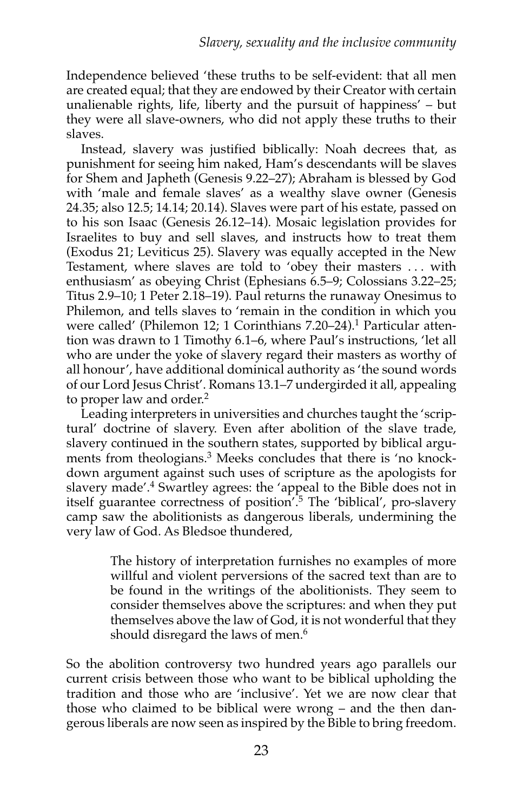Independence believed 'these truths to be self-evident: that all men are created equal; that they are endowed by their Creator with certain unalienable rights, life, liberty and the pursuit of happiness' – but they were all slave-owners, who did not apply these truths to their slaves.

Instead, slavery was justified biblically: Noah decrees that, as punishment for seeing him naked, Ham's descendants will be slaves for Shem and Japheth (Genesis 9.22–27); Abraham is blessed by God with 'male and female slaves' as a wealthy slave owner (Genesis 24.35; also 12.5; 14.14; 20.14). Slaves were part of his estate, passed on to his son Isaac (Genesis 26.12–14). Mosaic legislation provides for Israelites to buy and sell slaves, and instructs how to treat them (Exodus 21; Leviticus 25). Slavery was equally accepted in the New Testament, where slaves are told to 'obey their masters . . . with enthusiasm' as obeying Christ (Ephesians 6.5–9; Colossians 3.22–25; Titus 2.9–10; 1 Peter 2.18–19). Paul returns the runaway Onesimus to Philemon, and tells slaves to 'remain in the condition in which you were called' (Philemon 12; 1 Corinthians 7.20–24).<sup>1</sup> Particular attention was drawn to 1 Timothy 6.1–6, where Paul's instructions, 'let all who are under the yoke of slavery regard their masters as worthy of all honour', have additional dominical authority as 'the sound words of our Lord Jesus Christ'. Romans 13.1–7 undergirded it all, appealing to proper law and order.<sup>2</sup>

Leading interpreters in universities and churches taught the 'scriptural' doctrine of slavery. Even after abolition of the slave trade, slavery continued in the southern states, supported by biblical arguments from theologians.<sup>3</sup> Meeks concludes that there is 'no knockdown argument against such uses of scripture as the apologists for slavery made'.4 Swartley agrees: the 'appeal to the Bible does not in itself guarantee correctness of position<sup>'.5</sup> The 'biblical', pro-slavery camp saw the abolitionists as dangerous liberals, undermining the very law of God. As Bledsoe thundered,

> The history of interpretation furnishes no examples of more willful and violent perversions of the sacred text than are to be found in the writings of the abolitionists. They seem to consider themselves above the scriptures: and when they put themselves above the law of God, it is not wonderful that they should disregard the laws of men.<sup>6</sup>

So the abolition controversy two hundred years ago parallels our current crisis between those who want to be biblical upholding the tradition and those who are 'inclusive'. Yet we are now clear that those who claimed to be biblical were wrong – and the then dangerous liberals are now seen as inspired by the Bible to bring freedom.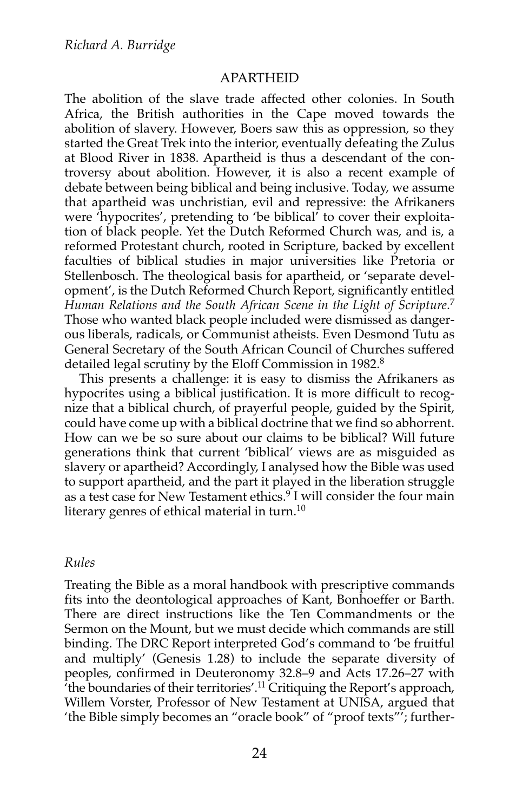#### APARTHEID

The abolition of the slave trade affected other colonies. In South Africa, the British authorities in the Cape moved towards the abolition of slavery. However, Boers saw this as oppression, so they started the Great Trek into the interior, eventually defeating the Zulus at Blood River in 1838. Apartheid is thus a descendant of the controversy about abolition. However, it is also a recent example of debate between being biblical and being inclusive. Today, we assume that apartheid was unchristian, evil and repressive: the Afrikaners were 'hypocrites', pretending to 'be biblical' to cover their exploitation of black people. Yet the Dutch Reformed Church was, and is, a reformed Protestant church, rooted in Scripture, backed by excellent faculties of biblical studies in major universities like Pretoria or Stellenbosch. The theological basis for apartheid, or 'separate development', is the Dutch Reformed Church Report, significantly entitled *Human Relations and the South African Scene in the Light of Scripture*. 7 Those who wanted black people included were dismissed as dangerous liberals, radicals, or Communist atheists. Even Desmond Tutu as General Secretary of the South African Council of Churches suffered detailed legal scrutiny by the Eloff Commission in 1982.<sup>8</sup>

This presents a challenge: it is easy to dismiss the Afrikaners as hypocrites using a biblical justification. It is more difficult to recognize that a biblical church, of prayerful people, guided by the Spirit, could have come up with a biblical doctrine that we find so abhorrent. How can we be so sure about our claims to be biblical? Will future generations think that current 'biblical' views are as misguided as slavery or apartheid? Accordingly, I analysed how the Bible was used to support apartheid, and the part it played in the liberation struggle as a test case for New Testament ethics.<sup>9</sup> I will consider the four main literary genres of ethical material in turn.<sup>10</sup>

#### *Rules*

Treating the Bible as a moral handbook with prescriptive commands fits into the deontological approaches of Kant, Bonhoeffer or Barth. There are direct instructions like the Ten Commandments or the Sermon on the Mount, but we must decide which commands are still binding. The DRC Report interpreted God's command to 'be fruitful and multiply' (Genesis 1.28) to include the separate diversity of peoples, confirmed in Deuteronomy 32.8–9 and Acts 17.26–27 with 'the boundaries of their territories'.11 Critiquing the Report's approach, Willem Vorster, Professor of New Testament at UNISA, argued that 'the Bible simply becomes an "oracle book" of "proof texts"'; further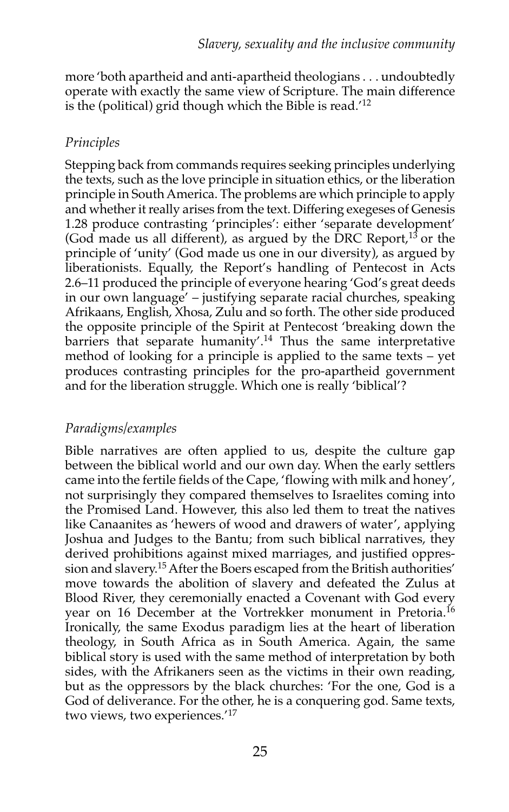more 'both apartheid and anti-apartheid theologians . . . undoubtedly operate with exactly the same view of Scripture. The main difference is the (political) grid though which the Bible is read.'<sup>12</sup>

## *Principles*

Stepping back from commands requires seeking principles underlying the texts, such as the love principle in situation ethics, or the liberation principle in South America. The problems are which principle to apply and whether it really arises from the text. Differing exegeses of Genesis 1.28 produce contrasting 'principles': either 'separate development' (God made us all different), as argued by the DRC Report,<sup>13</sup> or the principle of 'unity' (God made us one in our diversity), as argued by liberationists. Equally, the Report's handling of Pentecost in Acts 2.6–11 produced the principle of everyone hearing 'God's great deeds in our own language' – justifying separate racial churches, speaking Afrikaans, English, Xhosa, Zulu and so forth. The other side produced the opposite principle of the Spirit at Pentecost 'breaking down the barriers that separate humanity'.<sup>14</sup> Thus the same interpretative method of looking for a principle is applied to the same texts – yet produces contrasting principles for the pro-apartheid government and for the liberation struggle. Which one is really 'biblical'?

## *Paradigms/examples*

Bible narratives are often applied to us, despite the culture gap between the biblical world and our own day. When the early settlers came into the fertile fields of the Cape, 'flowing with milk and honey', not surprisingly they compared themselves to Israelites coming into the Promised Land. However, this also led them to treat the natives like Canaanites as 'hewers of wood and drawers of water', applying Joshua and Judges to the Bantu; from such biblical narratives, they derived prohibitions against mixed marriages, and justified oppression and slavery.<sup>15</sup> After the Boers escaped from the British authorities' move towards the abolition of slavery and defeated the Zulus at Blood River, they ceremonially enacted a Covenant with God every year on 16 December at the Vortrekker monument in Pretoria.<sup>16</sup> Ironically, the same Exodus paradigm lies at the heart of liberation theology, in South Africa as in South America. Again, the same biblical story is used with the same method of interpretation by both sides, with the Afrikaners seen as the victims in their own reading, but as the oppressors by the black churches: 'For the one, God is a God of deliverance. For the other, he is a conquering god. Same texts, two views, two experiences.'17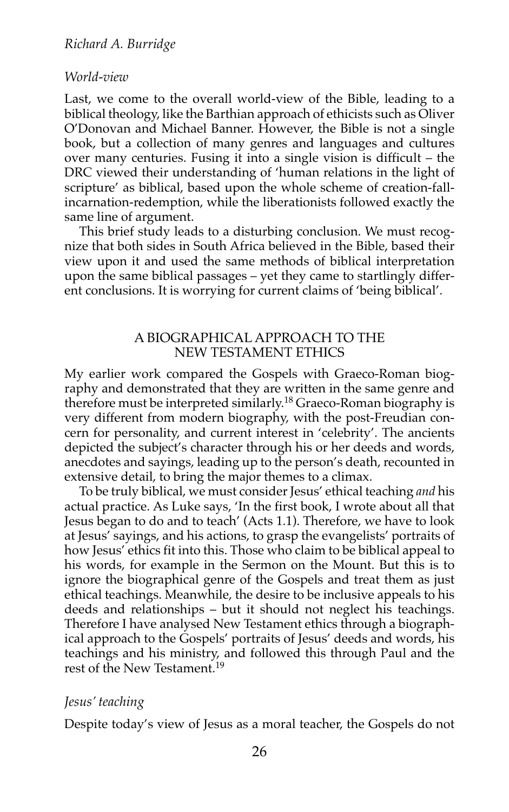#### *World-view*

Last, we come to the overall world-view of the Bible, leading to a biblical theology, like the Barthian approach of ethicists such as Oliver O'Donovan and Michael Banner. However, the Bible is not a single book, but a collection of many genres and languages and cultures over many centuries. Fusing it into a single vision is difficult – the DRC viewed their understanding of 'human relations in the light of scripture' as biblical, based upon the whole scheme of creation-fallincarnation-redemption, while the liberationists followed exactly the same line of argument.

This brief study leads to a disturbing conclusion. We must recognize that both sides in South Africa believed in the Bible, based their view upon it and used the same methods of biblical interpretation upon the same biblical passages – yet they came to startlingly different conclusions. It is worrying for current claims of 'being biblical'.

#### A BIOGRAPHICAL APPROACH TO THE NEW TESTAMENT ETHICS

My earlier work compared the Gospels with Graeco-Roman biography and demonstrated that they are written in the same genre and therefore must be interpreted similarly.<sup>18</sup> Graeco-Roman biography is very different from modern biography, with the post-Freudian concern for personality, and current interest in 'celebrity'. The ancients depicted the subject's character through his or her deeds and words, anecdotes and sayings, leading up to the person's death, recounted in extensive detail, to bring the major themes to a climax.

To be truly biblical, we must consider Jesus' ethical teaching *and* his actual practice. As Luke says, 'In the first book, I wrote about all that Jesus began to do and to teach' (Acts 1.1). Therefore, we have to look at Jesus' sayings, and his actions, to grasp the evangelists' portraits of how Jesus' ethics fit into this. Those who claim to be biblical appeal to his words, for example in the Sermon on the Mount. But this is to ignore the biographical genre of the Gospels and treat them as just ethical teachings. Meanwhile, the desire to be inclusive appeals to his deeds and relationships – but it should not neglect his teachings. Therefore I have analysed New Testament ethics through a biographical approach to the Gospels' portraits of Jesus' deeds and words, his teachings and his ministry, and followed this through Paul and the rest of the New Testament.19

#### *Jesus' teaching*

Despite today's view of Jesus as a moral teacher, the Gospels do not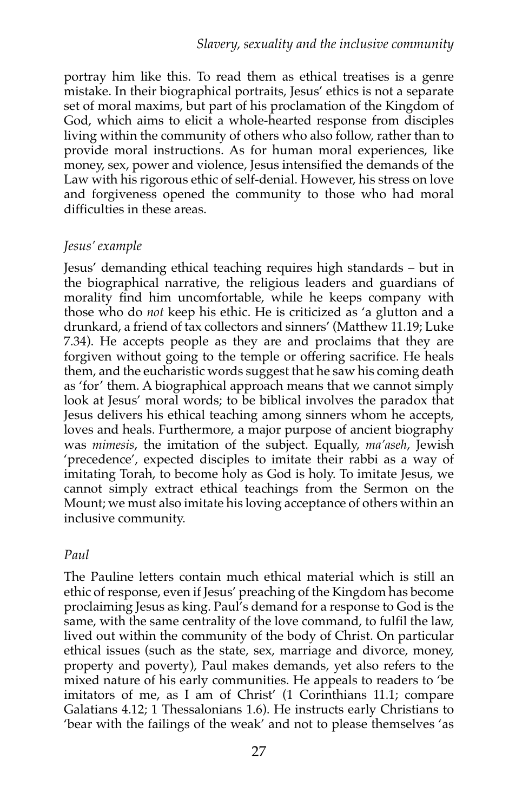portray him like this. To read them as ethical treatises is a genre mistake. In their biographical portraits, Jesus' ethics is not a separate set of moral maxims, but part of his proclamation of the Kingdom of God, which aims to elicit a whole-hearted response from disciples living within the community of others who also follow, rather than to provide moral instructions. As for human moral experiences, like money, sex, power and violence, Jesus intensified the demands of the Law with his rigorous ethic of self-denial. However, his stress on love and forgiveness opened the community to those who had moral difficulties in these areas.

## *Jesus' example*

Jesus' demanding ethical teaching requires high standards – but in the biographical narrative, the religious leaders and guardians of morality find him uncomfortable, while he keeps company with those who do *not* keep his ethic. He is criticized as 'a glutton and a drunkard, a friend of tax collectors and sinners' (Matthew 11.19; Luke 7.34). He accepts people as they are and proclaims that they are forgiven without going to the temple or offering sacrifice. He heals them, and the eucharistic words suggest that he saw his coming death as 'for' them. A biographical approach means that we cannot simply look at Jesus' moral words; to be biblical involves the paradox that Jesus delivers his ethical teaching among sinners whom he accepts, loves and heals. Furthermore, a major purpose of ancient biography was *mimesis*, the imitation of the subject. Equally, *ma'aseh*, Jewish 'precedence', expected disciples to imitate their rabbi as a way of imitating Torah, to become holy as God is holy. To imitate Jesus, we cannot simply extract ethical teachings from the Sermon on the Mount; we must also imitate his loving acceptance of others within an inclusive community.

## *Paul*

The Pauline letters contain much ethical material which is still an ethic of response, even if Jesus' preaching of the Kingdom has become proclaiming Jesus as king. Paul's demand for a response to God is the same, with the same centrality of the love command, to fulfil the law, lived out within the community of the body of Christ. On particular ethical issues (such as the state, sex, marriage and divorce, money, property and poverty), Paul makes demands, yet also refers to the mixed nature of his early communities. He appeals to readers to 'be imitators of me, as I am of Christ' (1 Corinthians 11.1; compare Galatians 4.12; 1 Thessalonians 1.6). He instructs early Christians to 'bear with the failings of the weak' and not to please themselves 'as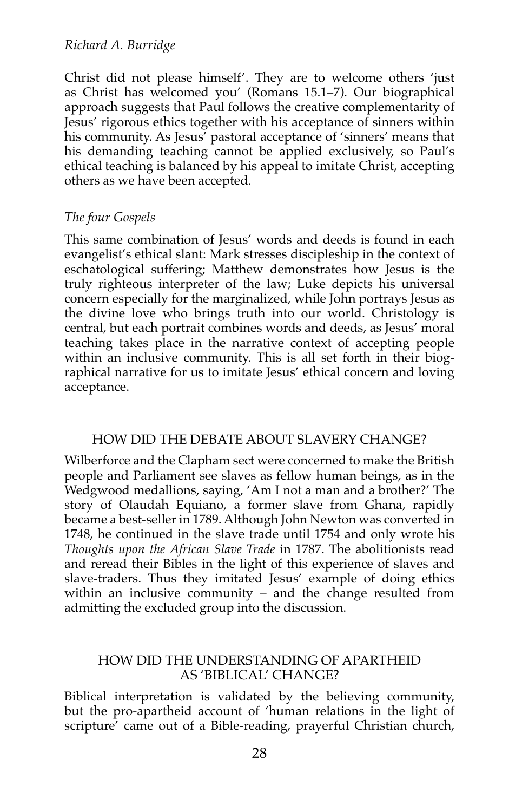Christ did not please himself'. They are to welcome others 'just as Christ has welcomed you' (Romans 15.1–7). Our biographical approach suggests that Paul follows the creative complementarity of Jesus' rigorous ethics together with his acceptance of sinners within his community. As Jesus' pastoral acceptance of 'sinners' means that his demanding teaching cannot be applied exclusively, so Paul's ethical teaching is balanced by his appeal to imitate Christ, accepting others as we have been accepted.

### *The four Gospels*

This same combination of Jesus' words and deeds is found in each evangelist's ethical slant: Mark stresses discipleship in the context of eschatological suffering; Matthew demonstrates how Jesus is the truly righteous interpreter of the law; Luke depicts his universal concern especially for the marginalized, while John portrays Jesus as the divine love who brings truth into our world. Christology is central, but each portrait combines words and deeds, as Jesus' moral teaching takes place in the narrative context of accepting people within an inclusive community. This is all set forth in their biographical narrative for us to imitate Jesus' ethical concern and loving acceptance.

#### HOW DID THE DEBATE ABOUT SLAVERY CHANGE?

Wilberforce and the Clapham sect were concerned to make the British people and Parliament see slaves as fellow human beings, as in the Wedgwood medallions, saying, 'Am I not a man and a brother?' The story of Olaudah Equiano, a former slave from Ghana, rapidly became a best-seller in 1789. Although John Newton was converted in 1748, he continued in the slave trade until 1754 and only wrote his *Thoughts upon the African Slave Trade* in 1787. The abolitionists read and reread their Bibles in the light of this experience of slaves and slave-traders. Thus they imitated Jesus' example of doing ethics within an inclusive community – and the change resulted from admitting the excluded group into the discussion.

#### HOW DID THE UNDERSTANDING OF APARTHEID AS 'BIBLICAL' CHANGE?

Biblical interpretation is validated by the believing community, but the pro-apartheid account of 'human relations in the light of scripture' came out of a Bible-reading, prayerful Christian church,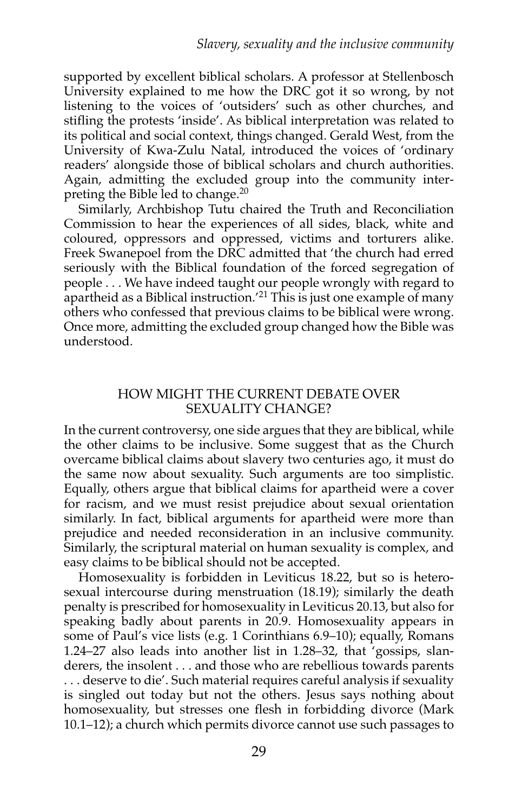supported by excellent biblical scholars. A professor at Stellenbosch University explained to me how the DRC got it so wrong, by not listening to the voices of 'outsiders' such as other churches, and stifling the protests 'inside'. As biblical interpretation was related to its political and social context, things changed. Gerald West, from the University of Kwa-Zulu Natal, introduced the voices of 'ordinary readers' alongside those of biblical scholars and church authorities. Again, admitting the excluded group into the community interpreting the Bible led to change.<sup>20</sup>

Similarly, Archbishop Tutu chaired the Truth and Reconciliation Commission to hear the experiences of all sides, black, white and coloured, oppressors and oppressed, victims and torturers alike. Freek Swanepoel from the DRC admitted that 'the church had erred seriously with the Biblical foundation of the forced segregation of people . . . We have indeed taught our people wrongly with regard to apartheid as a Biblical instruction.'21 This is just one example of many others who confessed that previous claims to be biblical were wrong. Once more, admitting the excluded group changed how the Bible was understood.

#### HOW MIGHT THE CURRENT DEBATE OVER SEXUALITY CHANGE?

In the current controversy, one side argues that they are biblical, while the other claims to be inclusive. Some suggest that as the Church overcame biblical claims about slavery two centuries ago, it must do the same now about sexuality. Such arguments are too simplistic. Equally, others argue that biblical claims for apartheid were a cover for racism, and we must resist prejudice about sexual orientation similarly. In fact, biblical arguments for apartheid were more than prejudice and needed reconsideration in an inclusive community. Similarly, the scriptural material on human sexuality is complex, and easy claims to be biblical should not be accepted.

Homosexuality is forbidden in Leviticus 18.22, but so is heterosexual intercourse during menstruation (18.19); similarly the death penalty is prescribed for homosexuality in Leviticus 20.13, but also for speaking badly about parents in 20.9. Homosexuality appears in some of Paul's vice lists (e.g. 1 Corinthians 6.9–10); equally, Romans 1.24–27 also leads into another list in 1.28–32, that 'gossips, slanderers, the insolent . . . and those who are rebellious towards parents . . . deserve to die'. Such material requires careful analysis if sexuality is singled out today but not the others. Jesus says nothing about homosexuality, but stresses one flesh in forbidding divorce (Mark 10.1–12); a church which permits divorce cannot use such passages to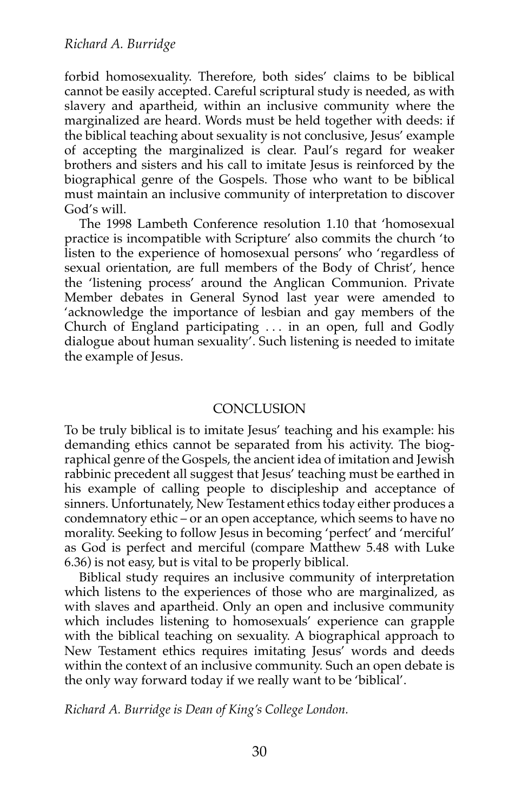forbid homosexuality. Therefore, both sides' claims to be biblical cannot be easily accepted. Careful scriptural study is needed, as with slavery and apartheid, within an inclusive community where the marginalized are heard. Words must be held together with deeds: if the biblical teaching about sexuality is not conclusive, Jesus' example of accepting the marginalized is clear. Paul's regard for weaker brothers and sisters and his call to imitate Jesus is reinforced by the biographical genre of the Gospels. Those who want to be biblical must maintain an inclusive community of interpretation to discover God's will.

The 1998 Lambeth Conference resolution 1.10 that 'homosexual practice is incompatible with Scripture' also commits the church 'to listen to the experience of homosexual persons' who 'regardless of sexual orientation, are full members of the Body of Christ', hence the 'listening process' around the Anglican Communion. Private Member debates in General Synod last year were amended to 'acknowledge the importance of lesbian and gay members of the Church of England participating . . . in an open, full and Godly dialogue about human sexuality'. Such listening is needed to imitate the example of Jesus.

#### **CONCLUSION**

To be truly biblical is to imitate Jesus' teaching and his example: his demanding ethics cannot be separated from his activity. The biographical genre of the Gospels, the ancient idea of imitation and Jewish rabbinic precedent all suggest that Jesus' teaching must be earthed in his example of calling people to discipleship and acceptance of sinners. Unfortunately, New Testament ethics today either produces a condemnatory ethic – or an open acceptance, which seems to have no morality. Seeking to follow Jesus in becoming 'perfect' and 'merciful' as God is perfect and merciful (compare Matthew 5.48 with Luke 6.36) is not easy, but is vital to be properly biblical.

Biblical study requires an inclusive community of interpretation which listens to the experiences of those who are marginalized, as with slaves and apartheid. Only an open and inclusive community which includes listening to homosexuals' experience can grapple with the biblical teaching on sexuality. A biographical approach to New Testament ethics requires imitating Jesus' words and deeds within the context of an inclusive community. Such an open debate is the only way forward today if we really want to be 'biblical'.

*Richard A. Burridge is Dean of King's College London.*